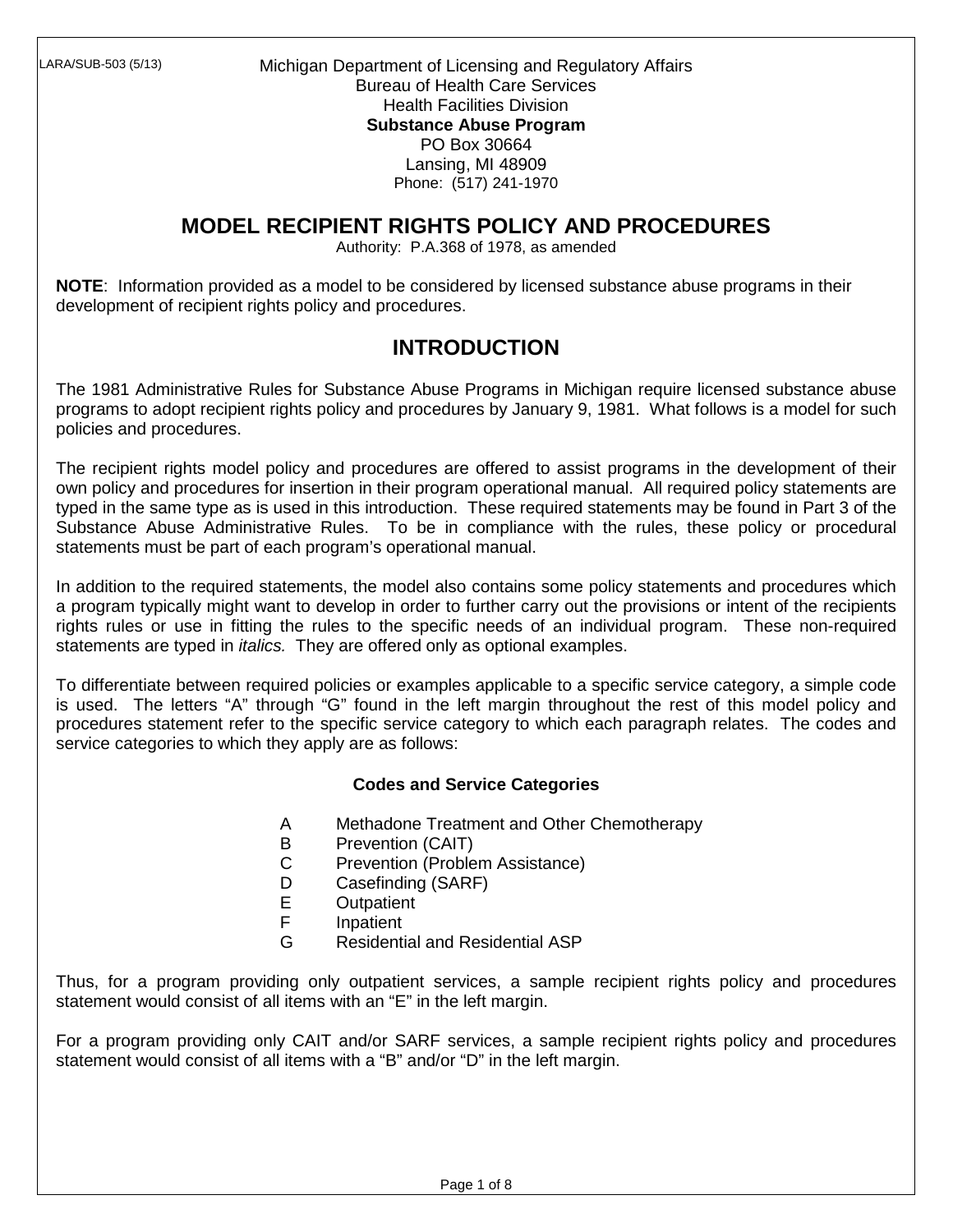Michigan Department of Licensing and Regulatory Affairs Bureau of Health Care Services Health Facilities Division **Substance Abuse Program**  PO Box 30664 Lansing, MI 48909 Phone: (517) 241-1970

# **MODEL RECIPIENT RIGHTS POLICY AND PROCEDURES**

Authority: P.A.368 of 1978, as amended

**NOTE**: Information provided as a model to be considered by licensed substance abuse programs in their development of recipient rights policy and procedures.

## **INTRODUCTION**

The 1981 Administrative Rules for Substance Abuse Programs in Michigan require licensed substance abuse programs to adopt recipient rights policy and procedures by January 9, 1981. What follows is a model for such policies and procedures.

The recipient rights model policy and procedures are offered to assist programs in the development of their own policy and procedures for insertion in their program operational manual. All required policy statements are typed in the same type as is used in this introduction. These required statements may be found in Part 3 of the Substance Abuse Administrative Rules. To be in compliance with the rules, these policy or procedural statements must be part of each program's operational manual.

In addition to the required statements, the model also contains some policy statements and procedures which a program typically might want to develop in order to further carry out the provisions or intent of the recipients rights rules or use in fitting the rules to the specific needs of an individual program. These non-required statements are typed in *italics*. They are offered only as optional examples.

To differentiate between required policies or examples applicable to a specific service category, a simple code is used. The letters "A" through "G" found in the left margin throughout the rest of this model policy and procedures statement refer to the specific service category to which each paragraph relates. The codes and service categories to which they apply are as follows:

#### **Codes and Service Categories**

- A Methadone Treatment and Other Chemotherapy
- B Prevention (CAIT)
- C Prevention (Problem Assistance)
- D Casefinding (SARF)<br>E Outpatient
- **Outpatient**
- F Inpatient
- G Residential and Residential ASP

Thus, for a program providing only outpatient services, a sample recipient rights policy and procedures statement would consist of all items with an "E" in the left margin.

For a program providing only CAIT and/or SARF services, a sample recipient rights policy and procedures statement would consist of all items with a "B" and/or "D" in the left margin.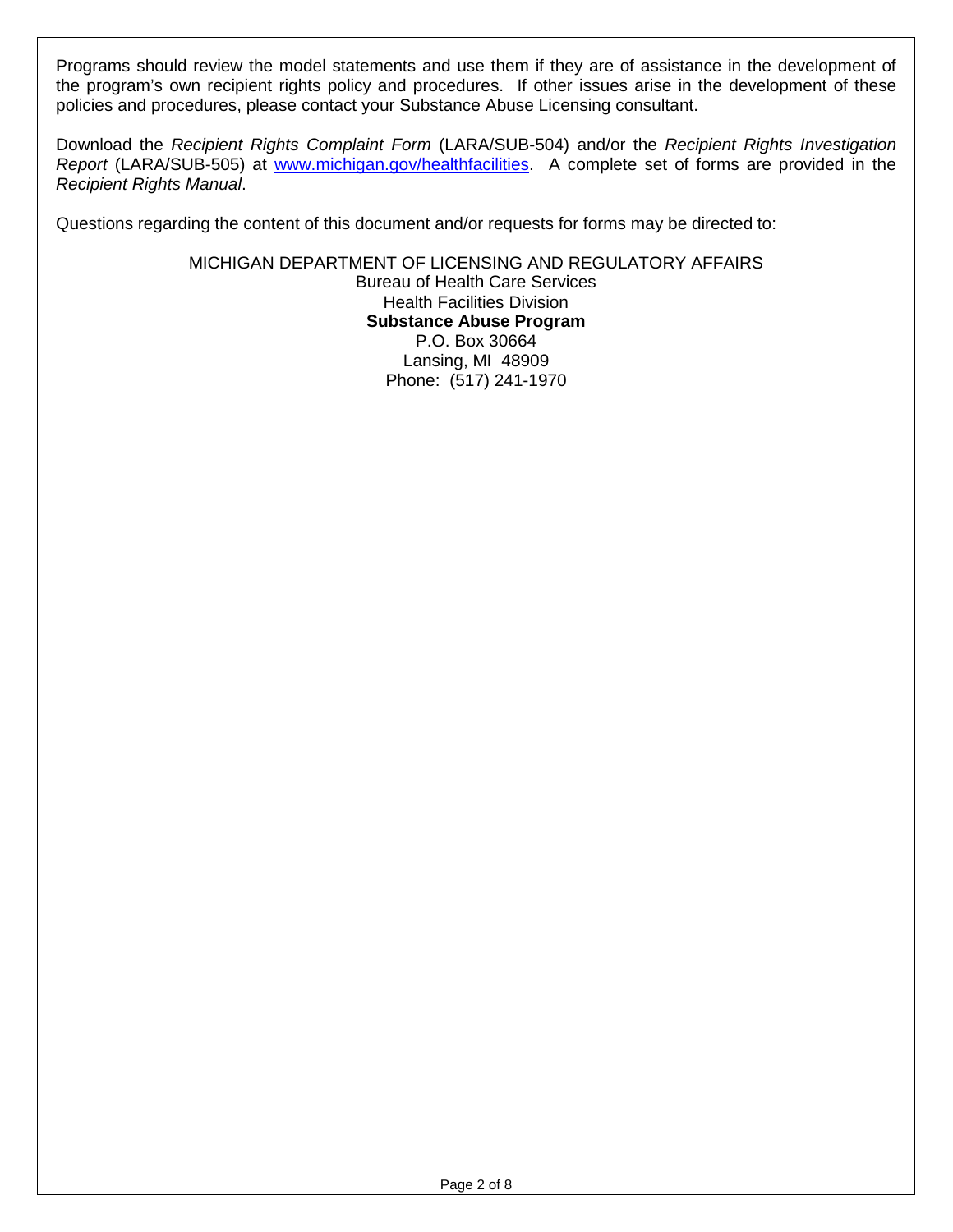Programs should review the model statements and use them if they are of assistance in the development of the program's own recipient rights policy and procedures. If other issues arise in the development of these policies and procedures, please contact your Substance Abuse Licensing consultant.

Download the Recipient Rights Complaint Form (LARA/SUB-504) and/or the Recipient Rights Investigation Report (LARA/SUB-505) at www.michigan.gov/healthfacilities. A complete set of forms are provided in the Recipient Rights Manual.

Questions regarding the content of this document and/or requests for forms may be directed to:

MICHIGAN DEPARTMENT OF LICENSING AND REGULATORY AFFAIRS Bureau of Health Care Services Health Facilities Division **Substance Abuse Program**  P.O. Box 30664 Lansing, MI 48909 Phone: (517) 241-1970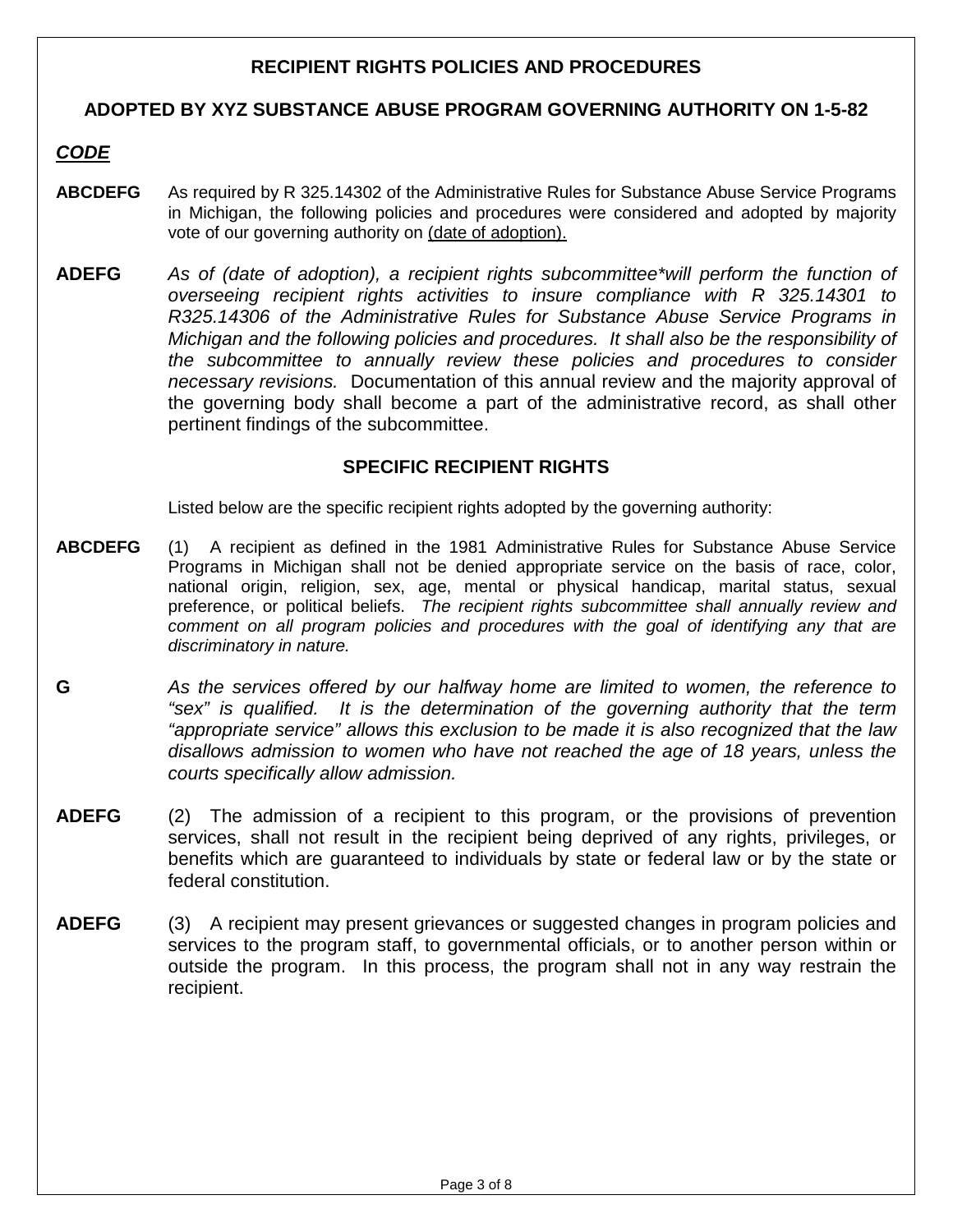### **RECIPIENT RIGHTS POLICIES AND PROCEDURES**

#### **ADOPTED BY XYZ SUBSTANCE ABUSE PROGRAM GOVERNING AUTHORITY ON 1-5-82**

## **CODE**

- **ABCDEFG** As required by R 325.14302 of the Administrative Rules for Substance Abuse Service Programs in Michigan, the following policies and procedures were considered and adopted by majority vote of our governing authority on (date of adoption).
- **ADEFG** As of (date of adoption), a recipient rights subcommittee\*will perform the function of overseeing recipient rights activities to insure compliance with R 325.14301 to R325.14306 of the Administrative Rules for Substance Abuse Service Programs in Michigan and the following policies and procedures. It shall also be the responsibility of the subcommittee to annually review these policies and procedures to consider necessary revisions. Documentation of this annual review and the majority approval of the governing body shall become a part of the administrative record, as shall other pertinent findings of the subcommittee.

#### **SPECIFIC RECIPIENT RIGHTS**

Listed below are the specific recipient rights adopted by the governing authority:

- **ABCDEFG** (1) A recipient as defined in the 1981 Administrative Rules for Substance Abuse Service Programs in Michigan shall not be denied appropriate service on the basis of race, color, national origin, religion, sex, age, mental or physical handicap, marital status, sexual preference, or political beliefs. The recipient rights subcommittee shall annually review and comment on all program policies and procedures with the goal of identifying any that are discriminatory in nature.
- **G** As the services offered by our halfway home are limited to women, the reference to "sex" is qualified. It is the determination of the governing authority that the term "appropriate service" allows this exclusion to be made it is also recognized that the law disallows admission to women who have not reached the age of 18 years, unless the courts specifically allow admission.
- **ADEFG** (2) The admission of a recipient to this program, or the provisions of prevention services, shall not result in the recipient being deprived of any rights, privileges, or benefits which are guaranteed to individuals by state or federal law or by the state or federal constitution.
- **ADEFG** (3) A recipient may present grievances or suggested changes in program policies and services to the program staff, to governmental officials, or to another person within or outside the program. In this process, the program shall not in any way restrain the recipient.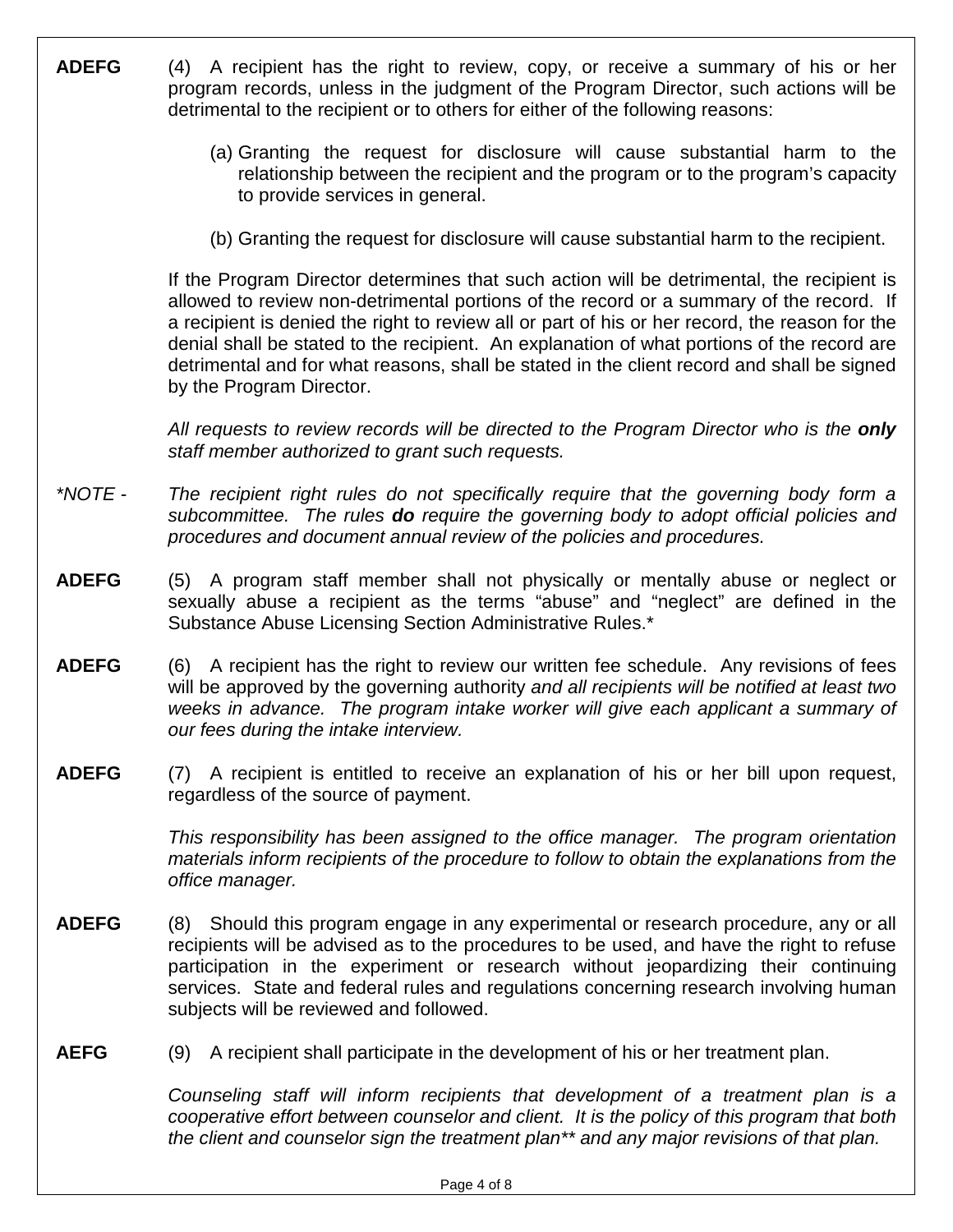| <b>ADEFG</b> | (4) A recipient has the right to review, copy, or receive a summary of his or her<br>program records, unless in the judgment of the Program Director, such actions will be<br>detrimental to the recipient or to others for either of the following reasons:                                                                                                                                                                                                                                                   |
|--------------|----------------------------------------------------------------------------------------------------------------------------------------------------------------------------------------------------------------------------------------------------------------------------------------------------------------------------------------------------------------------------------------------------------------------------------------------------------------------------------------------------------------|
|              | (a) Granting the request for disclosure will cause substantial harm to the<br>relationship between the recipient and the program or to the program's capacity<br>to provide services in general.                                                                                                                                                                                                                                                                                                               |
|              | (b) Granting the request for disclosure will cause substantial harm to the recipient.                                                                                                                                                                                                                                                                                                                                                                                                                          |
|              | If the Program Director determines that such action will be detrimental, the recipient is<br>allowed to review non-detrimental portions of the record or a summary of the record. If<br>a recipient is denied the right to review all or part of his or her record, the reason for the<br>denial shall be stated to the recipient. An explanation of what portions of the record are<br>detrimental and for what reasons, shall be stated in the client record and shall be signed<br>by the Program Director. |
|              | All requests to review records will be directed to the Program Director who is the only<br>staff member authorized to grant such requests.                                                                                                                                                                                                                                                                                                                                                                     |
| *NOTE -      | The recipient right rules do not specifically require that the governing body form a<br>subcommittee. The rules do require the governing body to adopt official policies and<br>procedures and document annual review of the policies and procedures.                                                                                                                                                                                                                                                          |
| <b>ADEFG</b> | (5) A program staff member shall not physically or mentally abuse or neglect or<br>sexually abuse a recipient as the terms "abuse" and "neglect" are defined in the<br>Substance Abuse Licensing Section Administrative Rules.*                                                                                                                                                                                                                                                                                |
| <b>ADEFG</b> | (6) A recipient has the right to review our written fee schedule. Any revisions of fees<br>will be approved by the governing authority and all recipients will be notified at least two<br>weeks in advance. The program intake worker will give each applicant a summary of<br>our fees during the intake interview.                                                                                                                                                                                          |
| <b>ADEFG</b> | A recipient is entitled to receive an explanation of his or her bill upon request,<br>(7)<br>regardless of the source of payment.                                                                                                                                                                                                                                                                                                                                                                              |
|              | This responsibility has been assigned to the office manager. The program orientation<br>materials inform recipients of the procedure to follow to obtain the explanations from the<br>office manager.                                                                                                                                                                                                                                                                                                          |
| <b>ADEFG</b> | (8) Should this program engage in any experimental or research procedure, any or all<br>recipients will be advised as to the procedures to be used, and have the right to refuse<br>participation in the experiment or research without jeopardizing their continuing<br>services. State and federal rules and regulations concerning research involving human<br>subjects will be reviewed and followed.                                                                                                      |
| <b>AEFG</b>  | A recipient shall participate in the development of his or her treatment plan.<br>(9)                                                                                                                                                                                                                                                                                                                                                                                                                          |
|              | Counseling staff will inform recipients that development of a treatment plan is a<br>cooperative effort between counselor and client. It is the policy of this program that both                                                                                                                                                                                                                                                                                                                               |

Page 4 of 8

the client and counselor sign the treatment plan\*\* and any major revisions of that plan.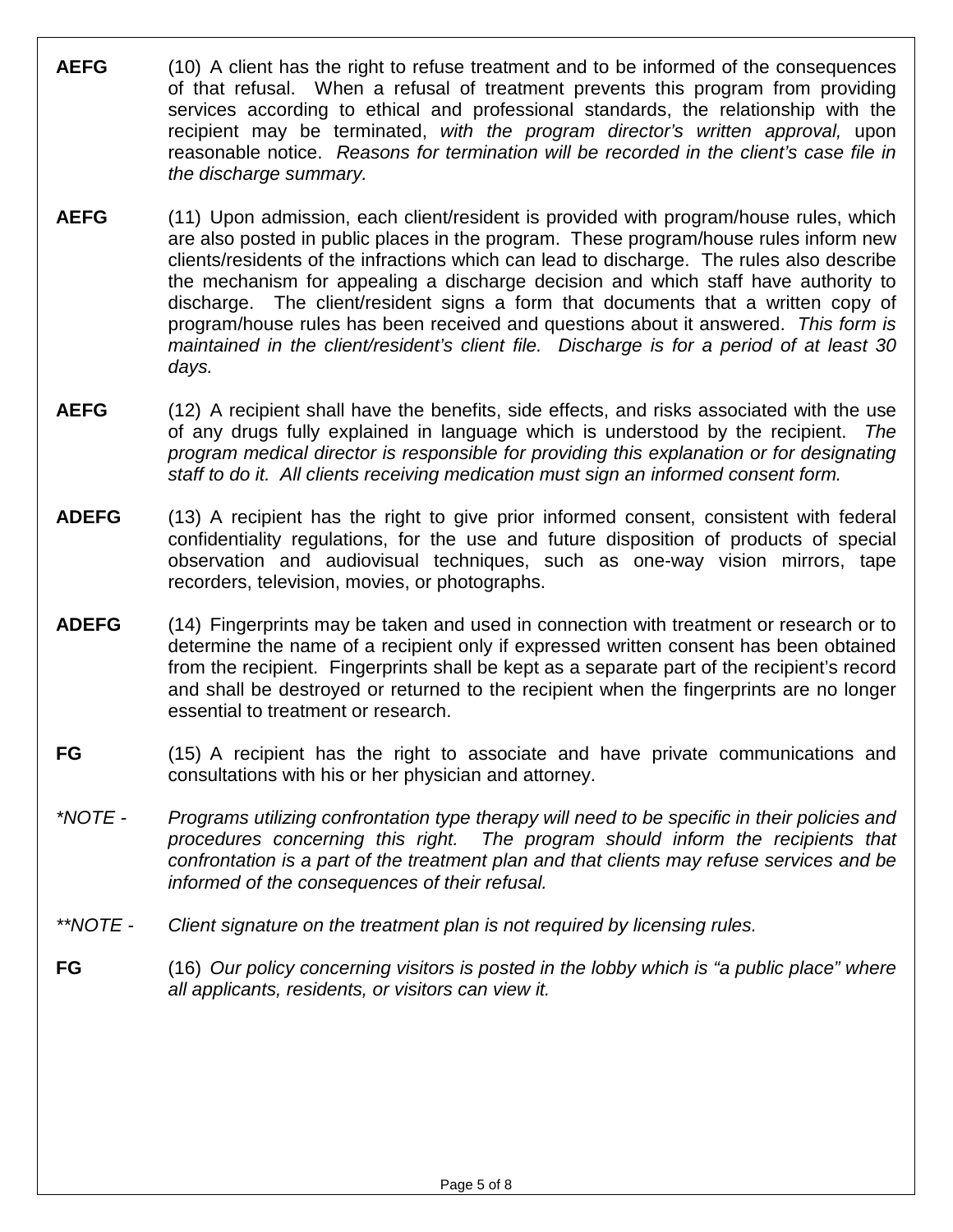- **AEFG** (10) A client has the right to refuse treatment and to be informed of the consequences of that refusal. When a refusal of treatment prevents this program from providing services according to ethical and professional standards, the relationship with the recipient may be terminated, with the program director's written approval, upon reasonable notice. Reasons for termination will be recorded in the client's case file in the discharge summary.
- **AEFG** (11) Upon admission, each client/resident is provided with program/house rules, which are also posted in public places in the program. These program/house rules inform new clients/residents of the infractions which can lead to discharge. The rules also describe the mechanism for appealing a discharge decision and which staff have authority to discharge. The client/resident signs a form that documents that a written copy of program/house rules has been received and questions about it answered. This form is maintained in the client/resident's client file. Discharge is for a period of at least 30 days.
- **AEFG** (12) A recipient shall have the benefits, side effects, and risks associated with the use of any drugs fully explained in language which is understood by the recipient. program medical director is responsible for providing this explanation or for designating staff to do it. All clients receiving medication must sign an informed consent form.
- **ADEFG** (13) A recipient has the right to give prior informed consent, consistent with federal confidentiality regulations, for the use and future disposition of products of special observation and audiovisual techniques, such as one-way vision mirrors, tape recorders, television, movies, or photographs.
- **ADEFG** (14) Fingerprints may be taken and used in connection with treatment or research or to determine the name of a recipient only if expressed written consent has been obtained from the recipient. Fingerprints shall be kept as a separate part of the recipient's record and shall be destroyed or returned to the recipient when the fingerprints are no longer essential to treatment or research.
- **FG** (15) A recipient has the right to associate and have private communications and consultations with his or her physician and attorney.
- \*NOTE Programs utilizing confrontation type therapy will need to be specific in their policies and procedures concerning this right. The program should inform the recipients that confrontation is a part of the treatment plan and that clients may refuse services and be informed of the consequences of their refusal.
- \*\*NOTE Client signature on the treatment plan is not required by licensing rules.
- **FG** (16) Our policy concerning visitors is posted in the lobby which is "a public place" where all applicants, residents, or visitors can view it.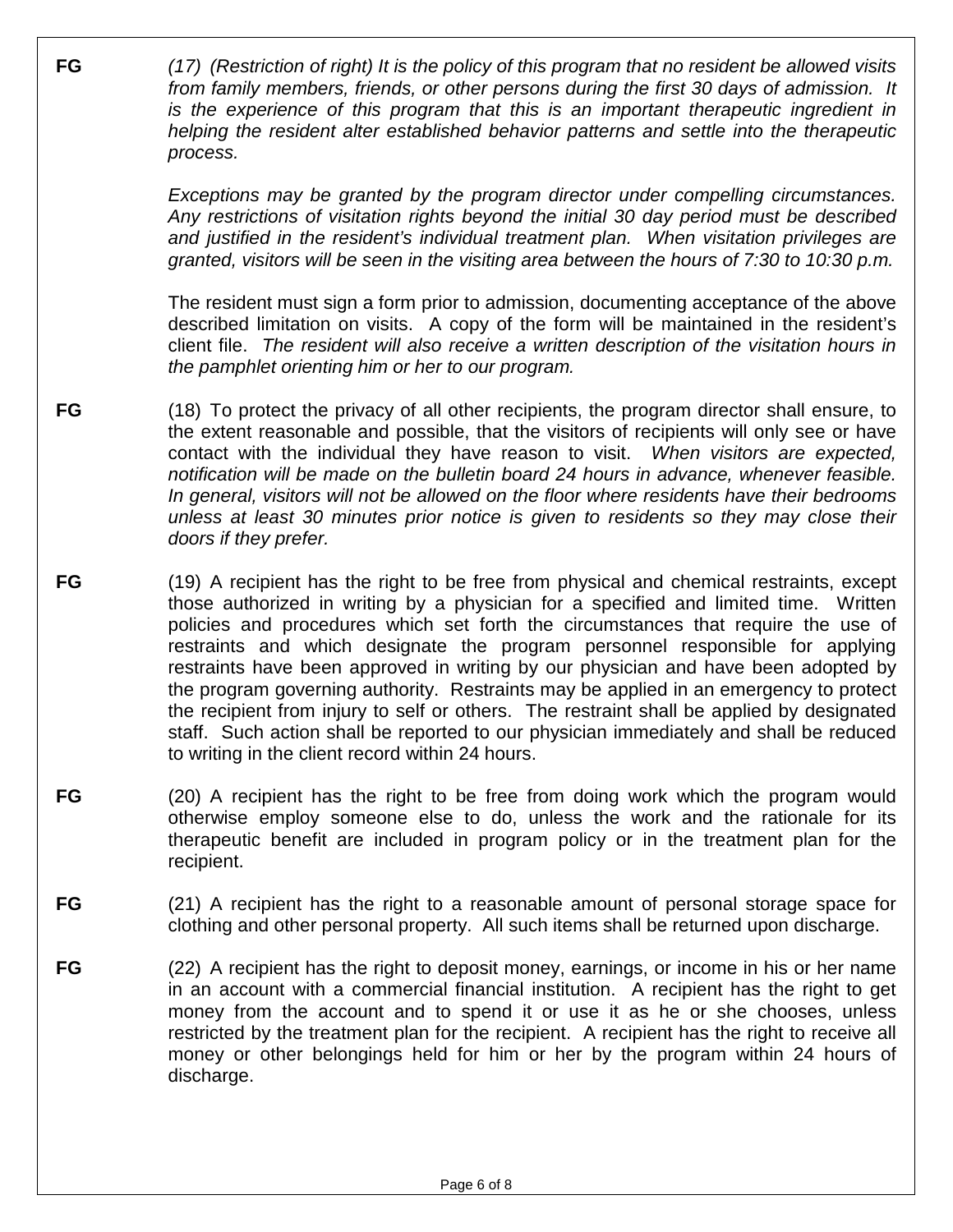**FG** (17) (Restriction of right) It is the policy of this program that no resident be allowed visits from family members, friends, or other persons during the first 30 days of admission. It is the experience of this program that this is an important therapeutic ingredient in helping the resident alter established behavior patterns and settle into the therapeutic process.

> Exceptions may be granted by the program director under compelling circumstances. Any restrictions of visitation rights beyond the initial 30 day period must be described and justified in the resident's individual treatment plan. When visitation privileges are granted, visitors will be seen in the visiting area between the hours of 7:30 to 10:30 p.m.

> The resident must sign a form prior to admission, documenting acceptance of the above described limitation on visits. A copy of the form will be maintained in the resident's client file. The resident will also receive a written description of the visitation hours in the pamphlet orienting him or her to our program.

- **FG** (18) To protect the privacy of all other recipients, the program director shall ensure, to the extent reasonable and possible, that the visitors of recipients will only see or have contact with the individual they have reason to visit. When visitors are expected, notification will be made on the bulletin board 24 hours in advance, whenever feasible. In general, visitors will not be allowed on the floor where residents have their bedrooms unless at least 30 minutes prior notice is given to residents so they may close their doors if they prefer.
- **FG** (19) A recipient has the right to be free from physical and chemical restraints, except those authorized in writing by a physician for a specified and limited time. Written policies and procedures which set forth the circumstances that require the use of restraints and which designate the program personnel responsible for applying restraints have been approved in writing by our physician and have been adopted by the program governing authority. Restraints may be applied in an emergency to protect the recipient from injury to self or others. The restraint shall be applied by designated staff. Such action shall be reported to our physician immediately and shall be reduced to writing in the client record within 24 hours.
- **FG** (20) A recipient has the right to be free from doing work which the program would otherwise employ someone else to do, unless the work and the rationale for its therapeutic benefit are included in program policy or in the treatment plan for the recipient.
- **FG** (21) A recipient has the right to a reasonable amount of personal storage space for clothing and other personal property. All such items shall be returned upon discharge.
- **FG** (22) A recipient has the right to deposit money, earnings, or income in his or her name in an account with a commercial financial institution. A recipient has the right to get money from the account and to spend it or use it as he or she chooses, unless restricted by the treatment plan for the recipient. A recipient has the right to receive all money or other belongings held for him or her by the program within 24 hours of discharge.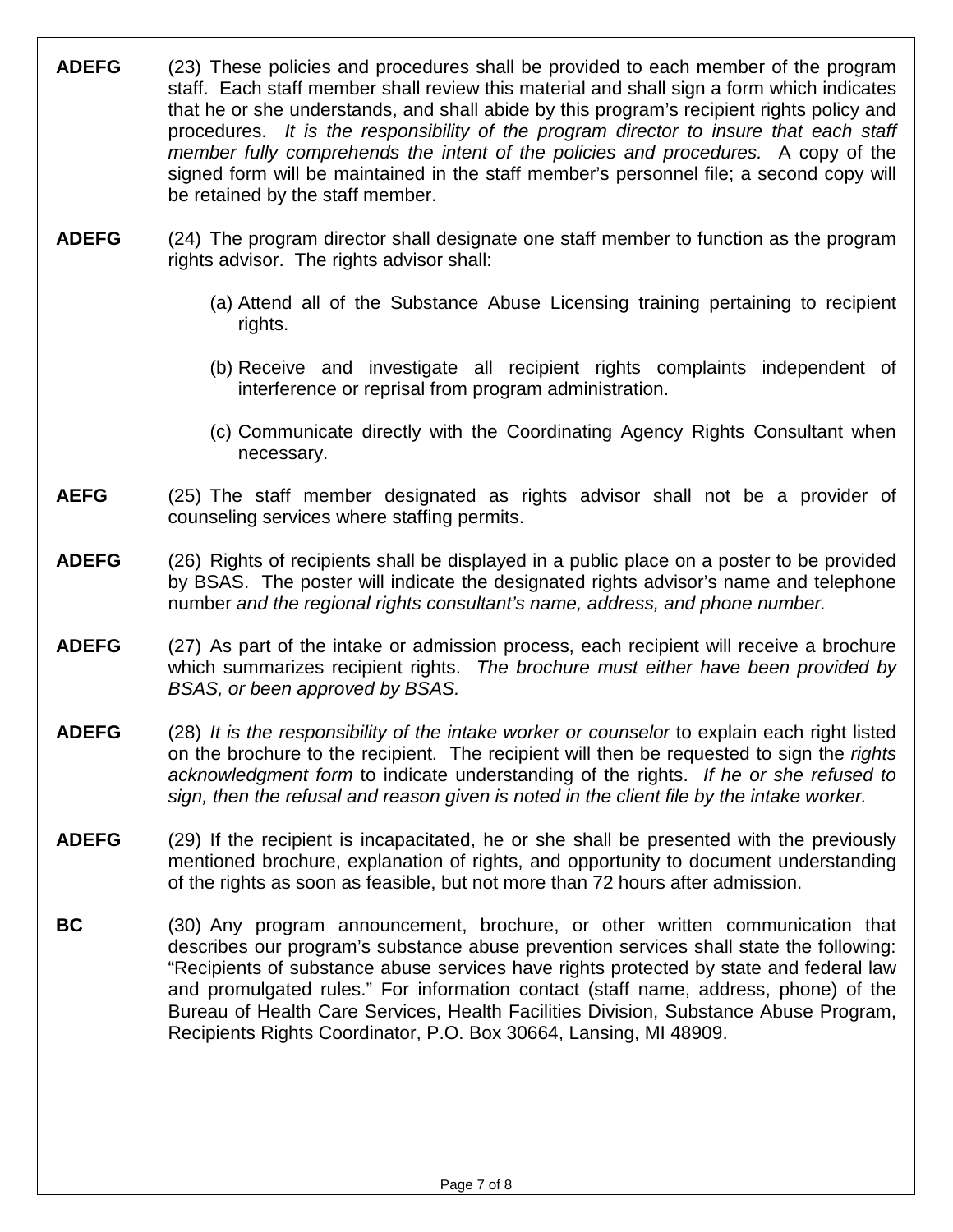**ADEFG** (23) These policies and procedures shall be provided to each member of the program staff. Each staff member shall review this material and shall sign a form which indicates that he or she understands, and shall abide by this program's recipient rights policy and procedures. It is the responsibility of the program director to insure that each staff member fully comprehends the intent of the policies and procedures. A copy of the signed form will be maintained in the staff member's personnel file; a second copy will be retained by the staff member. **ADEFG** (24) The program director shall designate one staff member to function as the program rights advisor. The rights advisor shall: (a) Attend all of the Substance Abuse Licensing training pertaining to recipient rights. (b) Receive and investigate all recipient rights complaints independent of interference or reprisal from program administration. (c) Communicate directly with the Coordinating Agency Rights Consultant when necessary. **AEFG** (25) The staff member designated as rights advisor shall not be a provider of counseling services where staffing permits. **ADEFG** (26) Rights of recipients shall be displayed in a public place on a poster to be provided by BSAS. The poster will indicate the designated rights advisor's name and telephone number and the regional rights consultant's name, address, and phone number. **ADEFG** (27) As part of the intake or admission process, each recipient will receive a brochure which summarizes recipient rights. The brochure must either have been provided by BSAS, or been approved by BSAS. **ADEFG** (28) It is the responsibility of the intake worker or counselor to explain each right listed on the brochure to the recipient. The recipient will then be requested to sign the *rights* acknowledgment form to indicate understanding of the rights. If he or she refused to sign, then the refusal and reason given is noted in the client file by the intake worker. **ADEFG** (29) If the recipient is incapacitated, he or she shall be presented with the previously mentioned brochure, explanation of rights, and opportunity to document understanding of the rights as soon as feasible, but not more than 72 hours after admission. **BC** (30) Any program announcement, brochure, or other written communication that describes our program's substance abuse prevention services shall state the following: "Recipients of substance abuse services have rights protected by state and federal law and promulgated rules." For information contact (staff name, address, phone) of the Bureau of Health Care Services, Health Facilities Division, Substance Abuse Program, Recipients Rights Coordinator, P.O. Box 30664, Lansing, MI 48909.